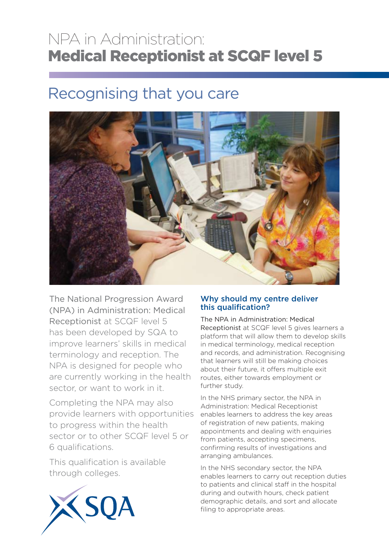## NPA in Administration: Medical Receptionist at SCQF level 5

# Recognising that you care



The National Progression Award (NPA) in Administration: Medical Receptionist at SCQF level 5 has been developed by SQA to improve learners' skills in medical terminology and reception. The NPA is designed for people who are currently working in the health sector, or want to work in it.

Completing the NPA may also provide learners with opportunities to progress within the health sector or to other SCQF level 5 or 6 qualifications.

This qualification is available through colleges.



### Why should my centre deliver this qualification?

The NPA in Administration: Medical Receptionist at SCQF level 5 gives learners a platform that will allow them to develop skills in medical terminology, medical reception and records, and administration. Recognising that learners will still be making choices about their future, it offers multiple exit routes, either towards employment or further study.

In the NHS primary sector, the NPA in Administration: Medical Receptionist enables learners to address the key areas of registration of new patients, making appointments and dealing with enquiries from patients, accepting specimens, confirming results of investigations and arranging ambulances.

In the NHS secondary sector, the NPA enables learners to carry out reception duties to patients and clinical staff in the hospital during and outwith hours, check patient demographic details, and sort and allocate filing to appropriate areas.